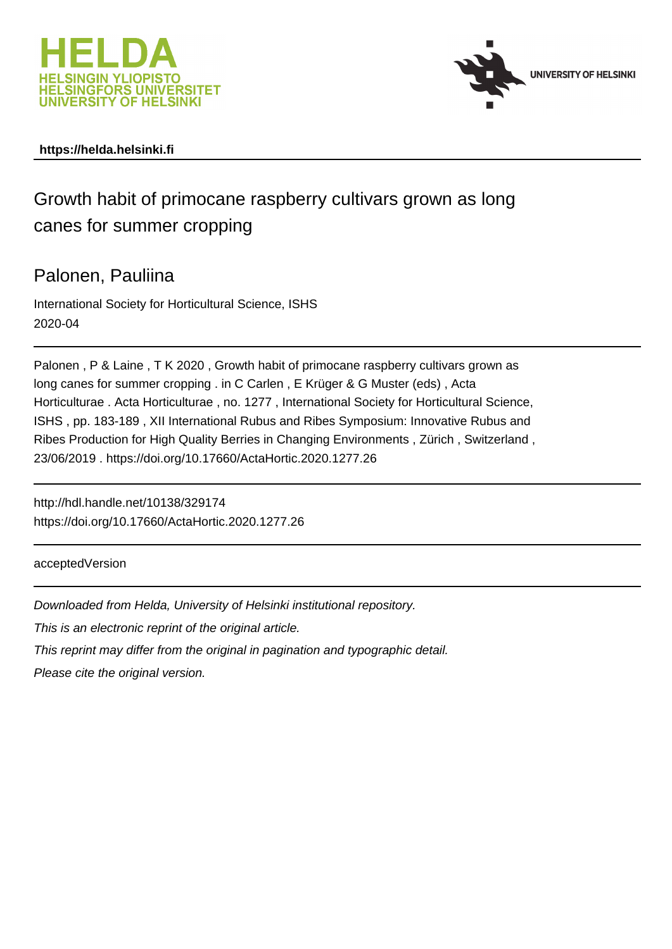



### **https://helda.helsinki.fi**

# Growth habit of primocane raspberry cultivars grown as long canes for summer cropping

### Palonen, Pauliina

International Society for Horticultural Science, ISHS 2020-04

Palonen , P & Laine , T K 2020 , Growth habit of primocane raspberry cultivars grown as long canes for summer cropping . in C Carlen , E Krüger & G Muster (eds) , Acta Horticulturae . Acta Horticulturae , no. 1277 , International Society for Horticultural Science, ISHS , pp. 183-189 , XII International Rubus and Ribes Symposium: Innovative Rubus and Ribes Production for High Quality Berries in Changing Environments , Zürich , Switzerland , 23/06/2019 . https://doi.org/10.17660/ActaHortic.2020.1277.26

http://hdl.handle.net/10138/329174 https://doi.org/10.17660/ActaHortic.2020.1277.26

acceptedVersion

Downloaded from Helda, University of Helsinki institutional repository.

This is an electronic reprint of the original article.

This reprint may differ from the original in pagination and typographic detail.

Please cite the original version.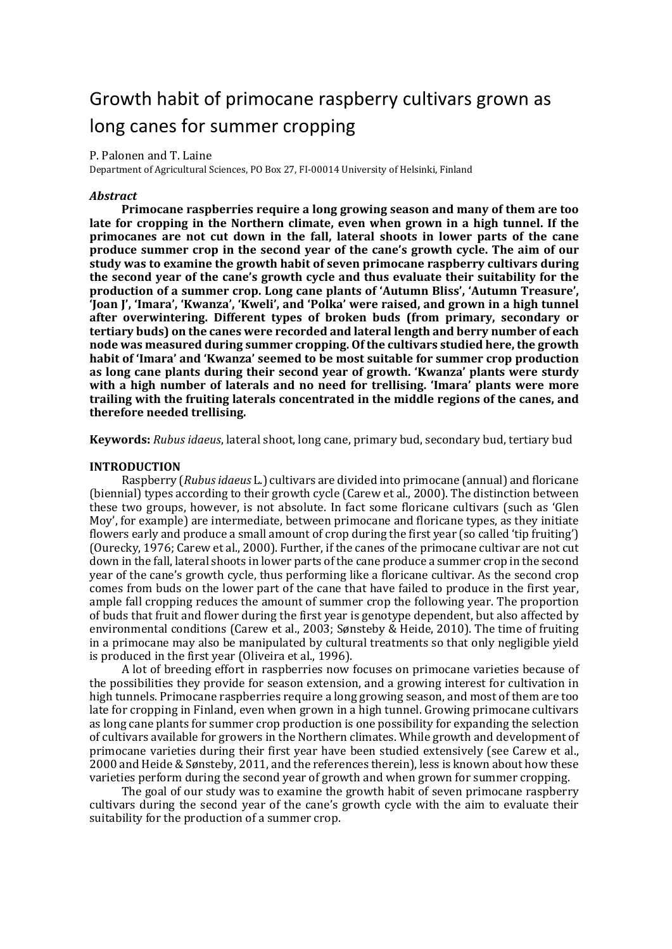## Growth habit of primocane raspberry cultivars grown as long canes for summer cropping

#### P. Palonen and T. Laine

Department of Agricultural Sciences, PO Box 27, FI-00014 University of Helsinki, Finland

#### *Abstract*

**Primocane raspberries require a long growing season and many of them are too late for cropping in the Northern climate, even when grown in a high tunnel. If the primocanes are not cut down in the fall, lateral shoots in lower parts of the cane produce summer crop in the second year of the cane's growth cycle. The aim of our study was to examine the growth habit of seven primocane raspberry cultivars during the second year of the cane's growth cycle and thus evaluate their suitability for the production of a summer crop. Long cane plants of 'Autumn Bliss', 'Autumn Treasure', 'Joan J', 'Imara', 'Kwanza', 'Kweli', and 'Polka' were raised, and grown in a high tunnel after overwintering. Different types of broken buds (from primary, secondary or tertiary buds) on the canes were recorded and lateral length and berry number of each node was measured during summer cropping. Of the cultivars studied here, the growth habit of 'Imara' and 'Kwanza' seemed to be most suitable for summer crop production as long cane plants during their second year of growth. 'Kwanza' plants were sturdy with a high number of laterals and no need for trellising. 'Imara' plants were more trailing with the fruiting laterals concentrated in the middle regions of the canes, and therefore needed trellising.**

**Keywords:** *Rubus idaeus*, lateral shoot, long cane, primary bud, secondary bud, tertiary bud

#### **INTRODUCTION**

Raspberry (*Rubus idaeus* L.) cultivars are divided into primocane (annual) and floricane (biennial) types according to their growth cycle (Carew et al., 2000). The distinction between these two groups, however, is not absolute. In fact some floricane cultivars (such as 'Glen Moy', for example) are intermediate, between primocane and floricane types, as they initiate flowers early and produce a small amount of crop during the first year (so called 'tip fruiting') (Ourecky, 1976; Carew et al., 2000). Further, if the canes of the primocane cultivar are not cut down in the fall, lateral shoots in lower parts of the cane produce a summer crop in the second year of the cane's growth cycle, thus performing like a floricane cultivar. As the second crop comes from buds on the lower part of the cane that have failed to produce in the first year, ample fall cropping reduces the amount of summer crop the following year. The proportion of buds that fruit and flower during the first year is genotype dependent, but also affected by environmental conditions (Carew et al., 2003; Sønsteby & Heide, 2010). The time of fruiting in a primocane may also be manipulated by cultural treatments so that only negligible yield is produced in the first year (Oliveira et al., 1996).

A lot of breeding effort in raspberries now focuses on primocane varieties because of the possibilities they provide for season extension, and a growing interest for cultivation in high tunnels. Primocane raspberries require a long growing season, and most of them are too late for cropping in Finland, even when grown in a high tunnel. Growing primocane cultivars as long cane plants for summer crop production is one possibility for expanding the selection of cultivars available for growers in the Northern climates. While growth and development of primocane varieties during their first year have been studied extensively (see Carew et al., 2000 and Heide & Sønsteby, 2011, and the references therein), less is known about how these varieties perform during the second year of growth and when grown for summer cropping.

The goal of our study was to examine the growth habit of seven primocane raspberry cultivars during the second year of the cane's growth cycle with the aim to evaluate their suitability for the production of a summer crop.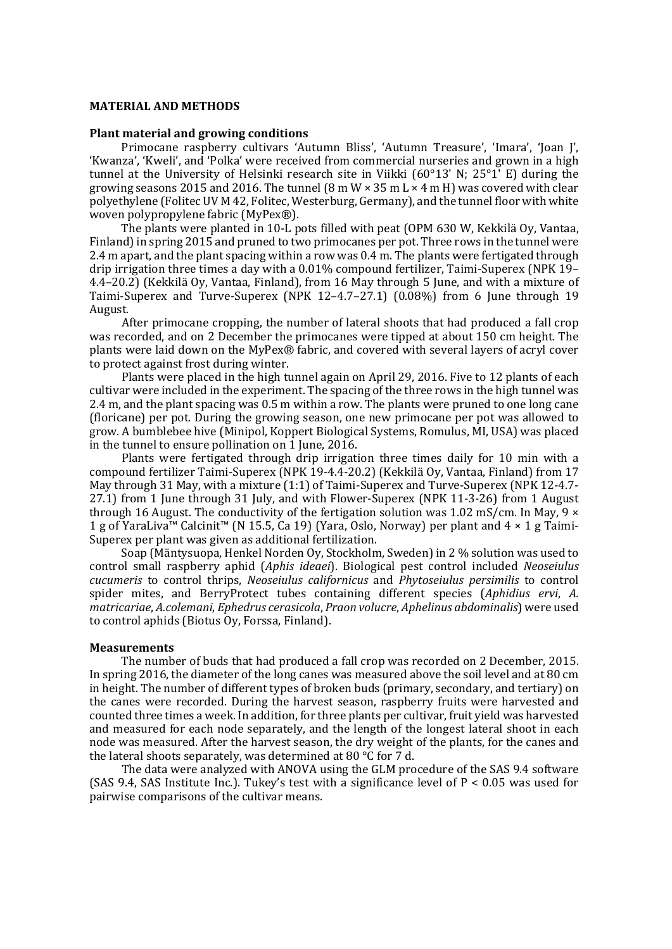#### **MATERIAL AND METHODS**

#### **Plant material and growing conditions**

Primocane raspberry cultivars 'Autumn Bliss', 'Autumn Treasure', 'Imara', 'Joan J', 'Kwanza', 'Kweli', and 'Polka' were received from commercial nurseries and grown in a high tunnel at the University of Helsinki research site in Viikki (60°13' N; 25°1' E) during the growing seasons 2015 and 2016. The tunnel  $(8 \text{ m W} \times 35 \text{ m L} \times 4 \text{ m H})$  was covered with clear polyethylene (Folitec UV M 42, Folitec, Westerburg, Germany), and the tunnel floor with white woven polypropylene fabric (MyPex®).

The plants were planted in 10-L pots filled with peat (OPM 630 W, Kekkilä Oy, Vantaa, Finland)in spring 2015 and pruned to two primocanes per pot. Three rows in the tunnel were 2.4 m apart, and the plant spacing within a row was 0.4 m. The plants were fertigated through drip irrigation three times a day with a 0.01% compound fertilizer, Taimi-Superex (NPK 19– 4.4–20.2) (Kekkilä Oy, Vantaa, Finland), from 16 May through 5 June, and with a mixture of Taimi-Superex and Turve-Superex (NPK 12–4.7–27.1) (0.08%) from 6 June through 19 August.

After primocane cropping, the number of lateral shoots that had produced a fall crop was recorded, and on 2 December the primocanes were tipped at about 150 cm height. The plants were laid down on the MyPex® fabric, and covered with several layers of acryl cover to protect against frost during winter.

Plants were placed in the high tunnel again on April 29, 2016. Five to 12 plants of each cultivar were included in the experiment. The spacing of the three rows in the high tunnel was 2.4 m, and the plant spacing was 0.5 m within a row. The plants were pruned to one long cane (floricane) per pot. During the growing season, one new primocane per pot was allowed to grow. A bumblebee hive (Minipol, Koppert Biological Systems, Romulus, MI, USA) was placed in the tunnel to ensure pollination on 1 June, 2016.

Plants were fertigated through drip irrigation three times daily for 10 min with a compound fertilizer Taimi-Superex (NPK 19-4.4-20.2) (Kekkilä Oy, Vantaa, Finland) from 17 May through 31 May, with a mixture (1:1) of Taimi-Superex and Turve-Superex (NPK 12-4.7- 27.1) from 1 June through 31 July, and with Flower-Superex (NPK 11-3-26) from 1 August through 16 August. The conductivity of the fertigation solution was 1.02 mS/cm. In May,  $9 \times$ 1 g of YaraLiva™ Calcinit™ (N 15.5, Ca 19) (Yara, Oslo, Norway) per plant and 4 × 1 g Taimi-Superex per plant was given as additional fertilization.

Soap (Mäntysuopa, Henkel Norden Oy, Stockholm, Sweden) in 2 % solution was used to control small raspberry aphid (*Aphis ideaei*). Biological pest control included *Neoseiulus cucumeris* to control thrips, *Neoseiulus californicus* and *Phytoseiulus persimilis* to control spider mites, and BerryProtect tubes containing different species (*Aphidius ervi*, *A. matricariae*, *A.colemani*, *Ephedrus cerasicola*, *Praon volucre*, *Aphelinus abdominalis*) were used to control aphids (Biotus Oy, Forssa, Finland).

#### **Measurements**

The number of buds that had produced a fall crop was recorded on 2 December, 2015. In spring 2016, the diameter of the long canes was measured above the soil level and at 80 cm in height. The number of different types of broken buds (primary, secondary, and tertiary) on the canes were recorded. During the harvest season, raspberry fruits were harvested and counted three times a week. In addition, for three plants per cultivar, fruit yield was harvested and measured for each node separately, and the length of the longest lateral shoot in each node was measured. After the harvest season, the dry weight of the plants, for the canes and the lateral shoots separately, was determined at 80 °C for 7 d.

The data were analyzed with ANOVA using the GLM procedure of the SAS 9.4 software (SAS 9.4, SAS Institute Inc.). Tukey's test with a significance level of  $P < 0.05$  was used for pairwise comparisons of the cultivar means.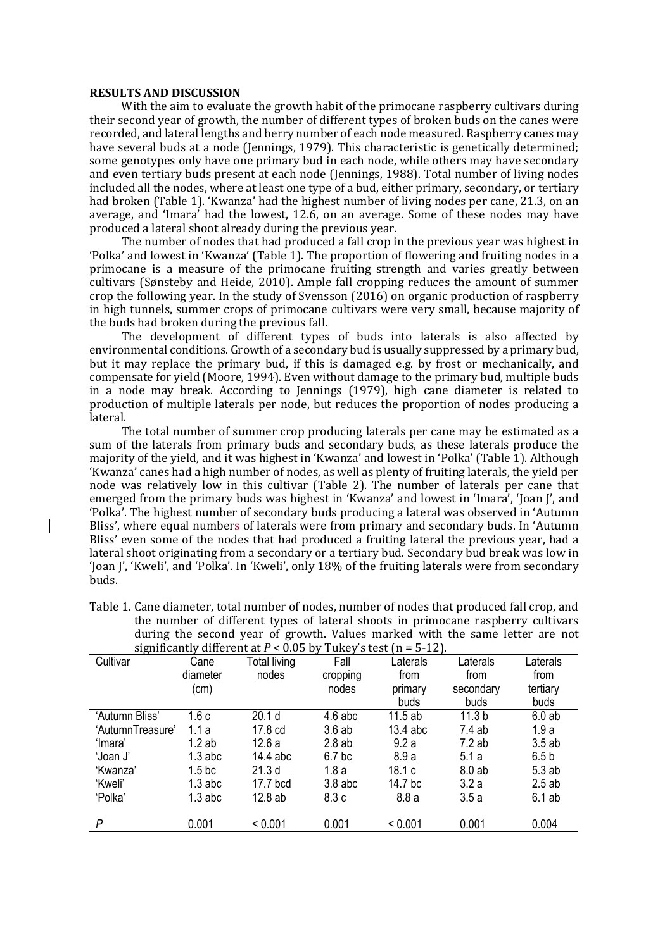#### **RESULTS AND DISCUSSION**

With the aim to evaluate the growth habit of the primocane raspberry cultivars during their second year of growth, the number of different types of broken buds on the canes were recorded, and lateral lengths and berry number of each node measured. Raspberry canes may have several buds at a node (Jennings, 1979). This characteristic is genetically determined; some genotypes only have one primary bud in each node, while others may have secondary and even tertiary buds present at each node (Jennings, 1988). Total number of living nodes included all the nodes, where at least one type of a bud, either primary, secondary, or tertiary had broken (Table 1). 'Kwanza' had the highest number of living nodes per cane, 21.3, on an average, and 'Imara' had the lowest, 12.6, on an average. Some of these nodes may have produced a lateral shoot already during the previous year.

The number of nodes that had produced a fall crop in the previous year was highest in 'Polka' and lowest in 'Kwanza' (Table 1). The proportion of flowering and fruiting nodes in a primocane is a measure of the primocane fruiting strength and varies greatly between cultivars (Sønsteby and Heide, 2010). Ample fall cropping reduces the amount of summer crop the following year. In the study of Svensson (2016) on organic production of raspberry in high tunnels, summer crops of primocane cultivars were very small, because majority of the buds had broken during the previous fall.

The development of different types of buds into laterals is also affected by environmental conditions. Growth of a secondary bud is usually suppressed by a primary bud, but it may replace the primary bud, if this is damaged e.g. by frost or mechanically, and compensate for yield (Moore, 1994). Even without damage to the primary bud, multiple buds in a node may break. According to Jennings (1979), high cane diameter is related to production of multiple laterals per node, but reduces the proportion of nodes producing a lateral.

The total number of summer crop producing laterals per cane may be estimated as a sum of the laterals from primary buds and secondary buds, as these laterals produce the majority of the yield, and it was highest in 'Kwanza' and lowest in 'Polka' (Table 1). Although 'Kwanza' canes had a high number of nodes, as well as plenty of fruiting laterals, the yield per node was relatively low in this cultivar (Table 2). The number of laterals per cane that emerged from the primary buds was highest in 'Kwanza' and lowest in 'Imara', 'Joan J', and 'Polka'. The highest number of secondary buds producing a lateral was observed in 'Autumn Bliss', where equal numbers of laterals were from primary and secondary buds. In 'Autumn Bliss' even some of the nodes that had produced a fruiting lateral the previous year, had a lateral shoot originating from a secondary or a tertiary bud. Secondary bud break was low in 'Joan J', 'Kweli', and 'Polka'. In 'Kweli', only 18% of the fruiting laterals were from secondary buds.

| significantly different at $P < 0.05$ by Tukey's test (n = 5-12). |                    |                     |                   |          |                   |                  |  |
|-------------------------------------------------------------------|--------------------|---------------------|-------------------|----------|-------------------|------------------|--|
| Cultivar                                                          | Cane               | <b>Total living</b> | Fall              | Laterals | Laterals          | Laterals         |  |
|                                                                   | diameter           | nodes               | cropping          | from     | from              | from             |  |
|                                                                   | (cm)               |                     | nodes             | primary  | secondary         | tertiary         |  |
|                                                                   |                    |                     |                   | buds     | buds              | buds             |  |
| 'Autumn Bliss'                                                    | 1.6c               | 20.1 <sub>d</sub>   | $4.6$ abc         | 11.5ab   | 11.3 <sub>b</sub> | 6.0ab            |  |
| 'AutumnTreasure'                                                  | 1.1a               | 17.8 cd             | 3.6ab             | 13.4 abc | 7.4ab             | 1.9a             |  |
| 'Imara'                                                           | 1.2ab              | 12.6a               | 2.8ab             | 9.2a     | 7.2ab             | 3.5ab            |  |
| 'Joan J'                                                          | $1.3$ abc          | 14.4 abc            | 6.7 <sub>bc</sub> | 8.9a     | 5.1a              | 6.5 <sub>b</sub> |  |
| 'Kwanza'                                                          | 1.5 <sub>b</sub> c | 21.3 <sub>d</sub>   | 1.8a              | 18.1 c   | 8.0ab             | 5.3ab            |  |
| 'Kweli'                                                           | $1.3$ abc          | 17.7 bcd            | $3.8$ abc         | 14.7 bc  | 3.2a              | 2.5ab            |  |
| 'Polka'                                                           | $1.3$ abc          | 12.8ab              | 8.3c              | 8.8a     | 3.5a              | $6.1$ ab         |  |
|                                                                   |                    |                     |                   |          |                   |                  |  |
| P                                                                 | 0.001              | < 0.001             | 0.001             | < 0.001  | 0.001             | 0.004            |  |

| Table 1. Cane diameter, total number of nodes, number of nodes that produced fall crop, and |
|---------------------------------------------------------------------------------------------|
| the number of different types of lateral shoots in primocane raspberry cultivars            |
| during the second year of growth. Values marked with the same letter are not                |
| significantly different at $P < 0.05$ by Tukey's test (n = 5-12).                           |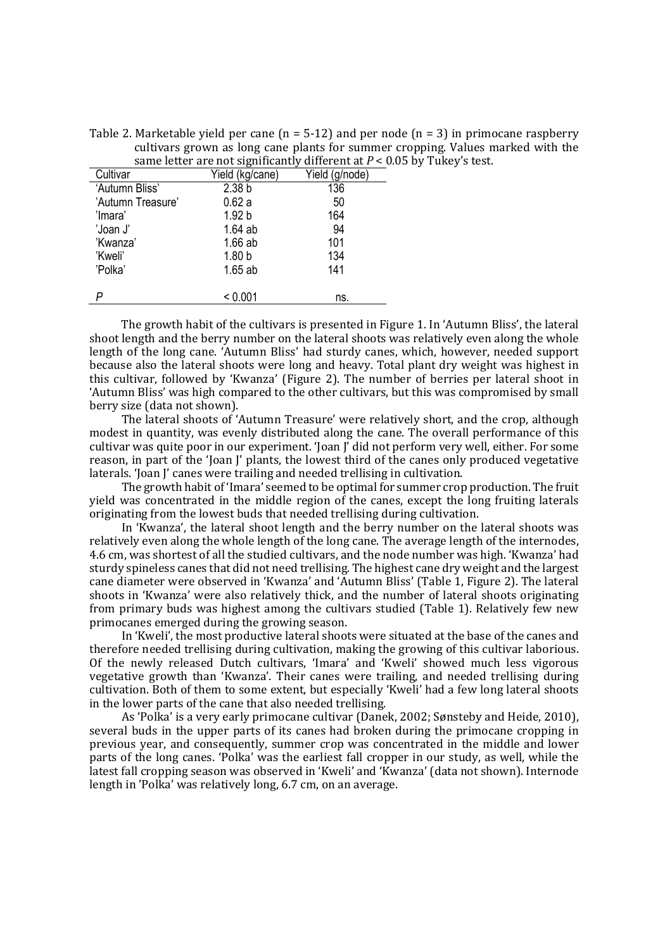Table 2. Marketable yield per cane  $(n = 5-12)$  and per node  $(n = 3)$  in primocane raspberry cultivars grown as long cane plants for summer cropping. Values marked with the same letter are not significantly different at  $P < 0.05$  by Tukey's test.

| Cultivar          | Yield (kg/cane)   | Yield (g/node) |
|-------------------|-------------------|----------------|
| 'Autumn Bliss'    | 2.38 <sub>b</sub> | 136            |
| 'Autumn Treasure' | 0.62a             | 50             |
| 'Imara'           | 1.92 <sub>b</sub> | 164            |
| 'Joan J'          | $1.64$ ab         | 94             |
| 'Kwanza'          | $1.66$ ab         | 101            |
| 'Kweli'           | 1.80 <sub>b</sub> | 134            |
| 'Polka'           | $1.65$ ab         | 141            |
|                   |                   |                |
|                   | < 0.001           | ns.            |

The growth habit of the cultivars is presented in Figure 1. In 'Autumn Bliss', the lateral shoot length and the berry number on the lateral shoots was relatively even along the whole length of the long cane. 'Autumn Bliss' had sturdy canes, which, however, needed support because also the lateral shoots were long and heavy. Total plant dry weight was highest in this cultivar, followed by 'Kwanza' (Figure 2). The number of berries per lateral shoot in 'Autumn Bliss' was high compared to the other cultivars, but this was compromised by small berry size (data not shown).

The lateral shoots of 'Autumn Treasure' were relatively short, and the crop, although modest in quantity, was evenly distributed along the cane. The overall performance of this cultivar was quite poor in our experiment. 'Joan J' did not perform very well, either. For some reason, in part of the 'Joan J' plants, the lowest third of the canes only produced vegetative laterals. 'Joan J' canes were trailing and needed trellising in cultivation.

The growth habit of 'Imara' seemed to be optimal for summer crop production. The fruit yield was concentrated in the middle region of the canes, except the long fruiting laterals originating from the lowest buds that needed trellising during cultivation.

In 'Kwanza', the lateral shoot length and the berry number on the lateral shoots was relatively even along the whole length of the long cane. The average length of the internodes, 4.6 cm, was shortest of all the studied cultivars, and the node number was high. 'Kwanza' had sturdy spineless canes that did not need trellising. The highest cane dry weight and the largest cane diameter were observed in 'Kwanza' and 'Autumn Bliss' (Table 1, Figure 2). The lateral shoots in 'Kwanza' were also relatively thick, and the number of lateral shoots originating from primary buds was highest among the cultivars studied (Table 1). Relatively few new primocanes emerged during the growing season.

In 'Kweli', the most productive lateral shoots were situated at the base of the canes and therefore needed trellising during cultivation, making the growing of this cultivar laborious. Of the newly released Dutch cultivars, 'Imara' and 'Kweli' showed much less vigorous vegetative growth than 'Kwanza'. Their canes were trailing, and needed trellising during cultivation. Both of them to some extent, but especially 'Kweli' had a few long lateral shoots in the lower parts of the cane that also needed trellising.

As 'Polka' is a very early primocane cultivar (Danek, 2002; Sønsteby and Heide, 2010), several buds in the upper parts of its canes had broken during the primocane cropping in previous year, and consequently, summer crop was concentrated in the middle and lower parts of the long canes. 'Polka' was the earliest fall cropper in our study, as well, while the latest fall cropping season was observed in 'Kweli' and 'Kwanza' (data not shown). Internode length in 'Polka' was relatively long, 6.7 cm, on an average.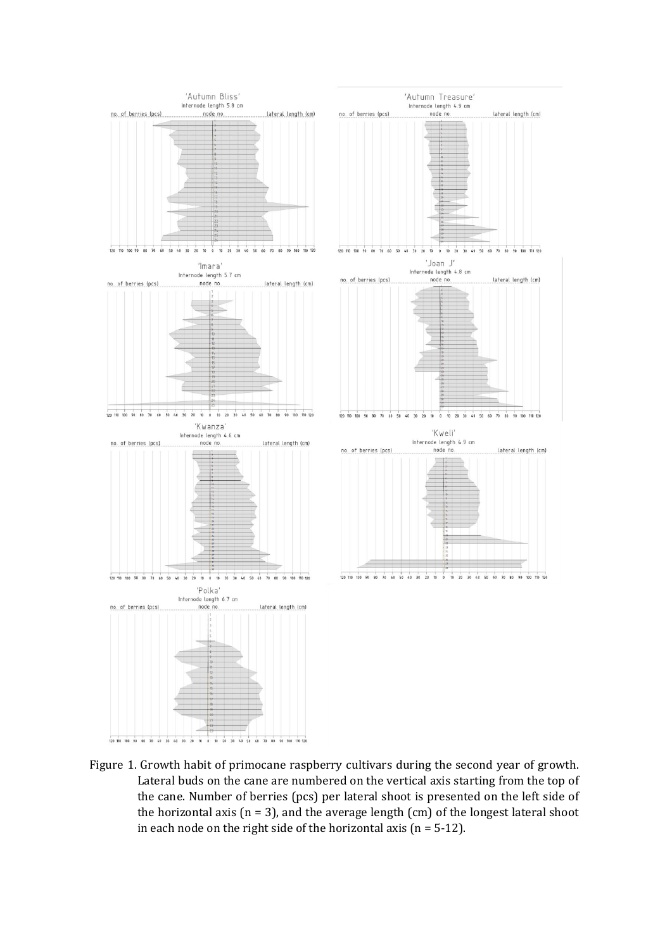

Figure 1. Growth habit of primocane raspberry cultivars during the second year of growth. Lateral buds on the cane are numbered on the vertical axis starting from the top of the cane. Number of berries (pcs) per lateral shoot is presented on the left side of the horizontal axis ( $n = 3$ ), and the average length (cm) of the longest lateral shoot in each node on the right side of the horizontal axis ( $n = 5-12$ ).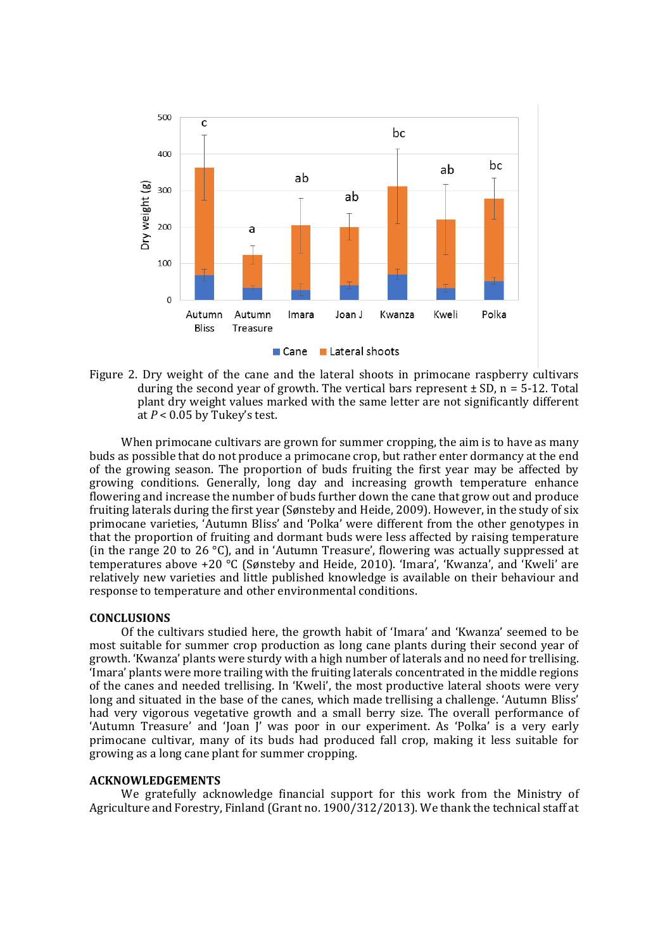

Figure 2. Dry weight of the cane and the lateral shoots in primocane raspberry cultivars during the second year of growth. The vertical bars represent  $\pm$  SD, n = 5-12. Total plant dry weight values marked with the same letter are not significantly different at  $P < 0.05$  by Tukey's test.

When primocane cultivars are grown for summer cropping, the aim is to have as many buds as possible that do not produce a primocane crop, but rather enter dormancy at the end of the growing season. The proportion of buds fruiting the first year may be affected by growing conditions. Generally, long day and increasing growth temperature enhance flowering and increase the number of buds further down the cane that grow out and produce fruiting laterals during the first year (Sønsteby and Heide, 2009). However, in the study of six primocane varieties, 'Autumn Bliss' and 'Polka' were different from the other genotypes in that the proportion of fruiting and dormant buds were less affected by raising temperature (in the range 20 to 26 °C), and in 'Autumn Treasure', flowering was actually suppressed at temperatures above +20 °C (Sønsteby and Heide, 2010). 'Imara', 'Kwanza', and 'Kweli' are relatively new varieties and little published knowledge is available on their behaviour and response to temperature and other environmental conditions.

#### **CONCLUSIONS**

Of the cultivars studied here, the growth habit of 'Imara' and 'Kwanza' seemed to be most suitable for summer crop production as long cane plants during their second year of growth. 'Kwanza' plants were sturdy with a high number of laterals and no need for trellising. 'Imara' plants were more trailing with the fruiting laterals concentrated in the middle regions of the canes and needed trellising. In 'Kweli', the most productive lateral shoots were very long and situated in the base of the canes, which made trellising a challenge. 'Autumn Bliss' had very vigorous vegetative growth and a small berry size. The overall performance of 'Autumn Treasure' and 'Joan J' was poor in our experiment. As 'Polka' is a very early primocane cultivar, many of its buds had produced fall crop, making it less suitable for growing as a long cane plant for summer cropping.

#### **ACKNOWLEDGEMENTS**

We gratefully acknowledge financial support for this work from the Ministry of Agriculture and Forestry, Finland (Grant no. 1900/312/2013). We thank the technical staff at